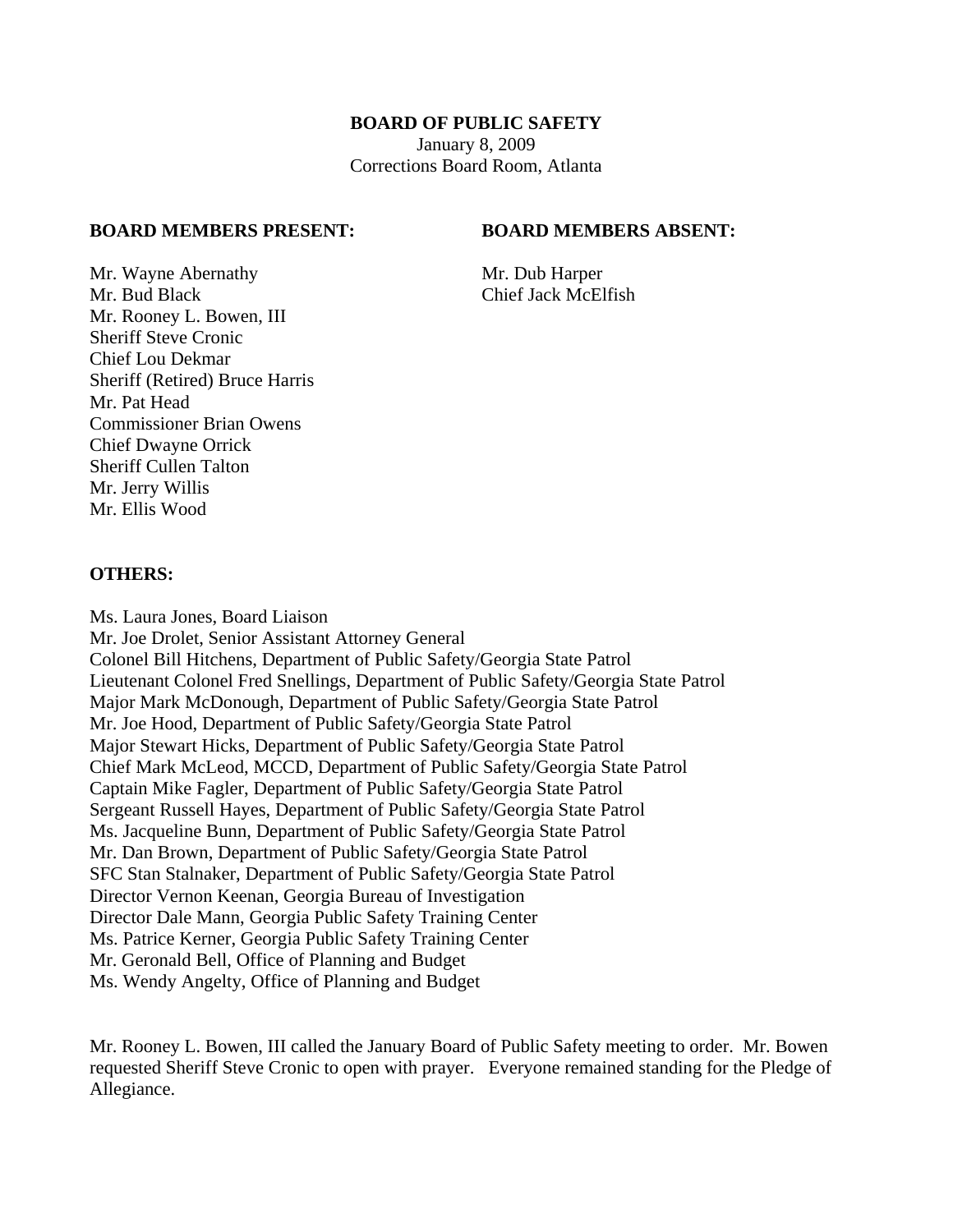### **BOARD OF PUBLIC SAFETY**

January 8, 2009 Corrections Board Room, Atlanta

#### **BOARD MEMBERS PRESENT: BOARD MEMBERS ABSENT:**

Mr. Wayne Abernathy Mr. Dub Harper Mr. Bud Black Chief Jack McElfish Mr. Rooney L. Bowen, III Sheriff Steve Cronic Chief Lou Dekmar Sheriff (Retired) Bruce Harris Mr. Pat Head Commissioner Brian Owens Chief Dwayne Orrick Sheriff Cullen Talton Mr. Jerry Willis Mr. Ellis Wood

### **OTHERS:**

Ms. Laura Jones, Board Liaison Mr. Joe Drolet, Senior Assistant Attorney General Colonel Bill Hitchens, Department of Public Safety/Georgia State Patrol Lieutenant Colonel Fred Snellings, Department of Public Safety/Georgia State Patrol Major Mark McDonough, Department of Public Safety/Georgia State Patrol Mr. Joe Hood, Department of Public Safety/Georgia State Patrol Major Stewart Hicks, Department of Public Safety/Georgia State Patrol Chief Mark McLeod, MCCD, Department of Public Safety/Georgia State Patrol Captain Mike Fagler, Department of Public Safety/Georgia State Patrol Sergeant Russell Hayes, Department of Public Safety/Georgia State Patrol Ms. Jacqueline Bunn, Department of Public Safety/Georgia State Patrol Mr. Dan Brown, Department of Public Safety/Georgia State Patrol SFC Stan Stalnaker, Department of Public Safety/Georgia State Patrol Director Vernon Keenan, Georgia Bureau of Investigation Director Dale Mann, Georgia Public Safety Training Center Ms. Patrice Kerner, Georgia Public Safety Training Center Mr. Geronald Bell, Office of Planning and Budget Ms. Wendy Angelty, Office of Planning and Budget

Mr. Rooney L. Bowen, III called the January Board of Public Safety meeting to order. Mr. Bowen requested Sheriff Steve Cronic to open with prayer. Everyone remained standing for the Pledge of Allegiance.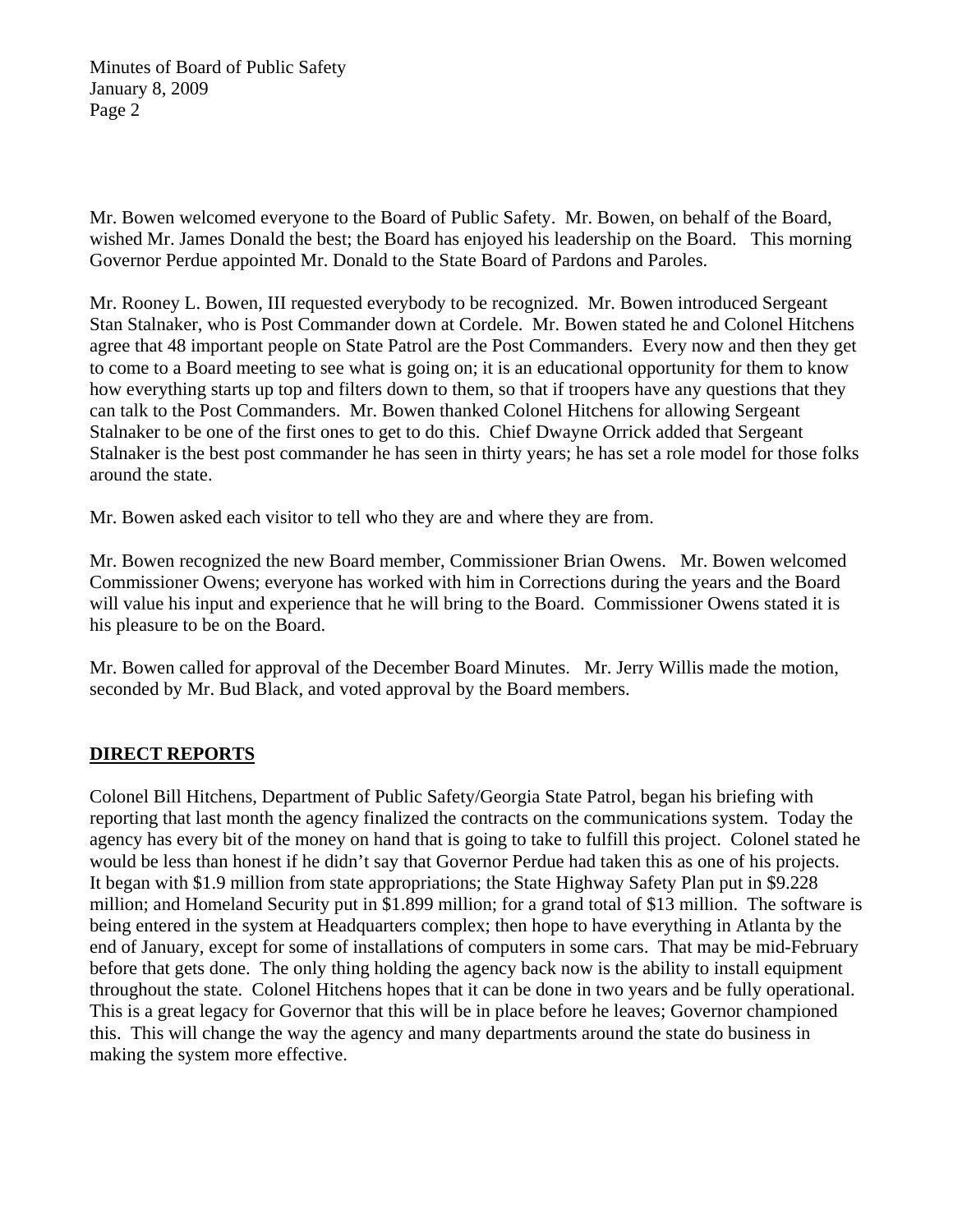Mr. Bowen welcomed everyone to the Board of Public Safety. Mr. Bowen, on behalf of the Board, wished Mr. James Donald the best; the Board has enjoyed his leadership on the Board. This morning Governor Perdue appointed Mr. Donald to the State Board of Pardons and Paroles.

Mr. Rooney L. Bowen, III requested everybody to be recognized. Mr. Bowen introduced Sergeant Stan Stalnaker, who is Post Commander down at Cordele. Mr. Bowen stated he and Colonel Hitchens agree that 48 important people on State Patrol are the Post Commanders. Every now and then they get to come to a Board meeting to see what is going on; it is an educational opportunity for them to know how everything starts up top and filters down to them, so that if troopers have any questions that they can talk to the Post Commanders. Mr. Bowen thanked Colonel Hitchens for allowing Sergeant Stalnaker to be one of the first ones to get to do this. Chief Dwayne Orrick added that Sergeant Stalnaker is the best post commander he has seen in thirty years; he has set a role model for those folks around the state.

Mr. Bowen asked each visitor to tell who they are and where they are from.

Mr. Bowen recognized the new Board member, Commissioner Brian Owens. Mr. Bowen welcomed Commissioner Owens; everyone has worked with him in Corrections during the years and the Board will value his input and experience that he will bring to the Board. Commissioner Owens stated it is his pleasure to be on the Board.

Mr. Bowen called for approval of the December Board Minutes. Mr. Jerry Willis made the motion, seconded by Mr. Bud Black, and voted approval by the Board members.

# **DIRECT REPORTS**

Colonel Bill Hitchens, Department of Public Safety/Georgia State Patrol, began his briefing with reporting that last month the agency finalized the contracts on the communications system. Today the agency has every bit of the money on hand that is going to take to fulfill this project. Colonel stated he would be less than honest if he didn't say that Governor Perdue had taken this as one of his projects. It began with \$1.9 million from state appropriations; the State Highway Safety Plan put in \$9.228 million; and Homeland Security put in \$1.899 million; for a grand total of \$13 million. The software is being entered in the system at Headquarters complex; then hope to have everything in Atlanta by the end of January, except for some of installations of computers in some cars. That may be mid-February before that gets done. The only thing holding the agency back now is the ability to install equipment throughout the state. Colonel Hitchens hopes that it can be done in two years and be fully operational. This is a great legacy for Governor that this will be in place before he leaves; Governor championed this. This will change the way the agency and many departments around the state do business in making the system more effective.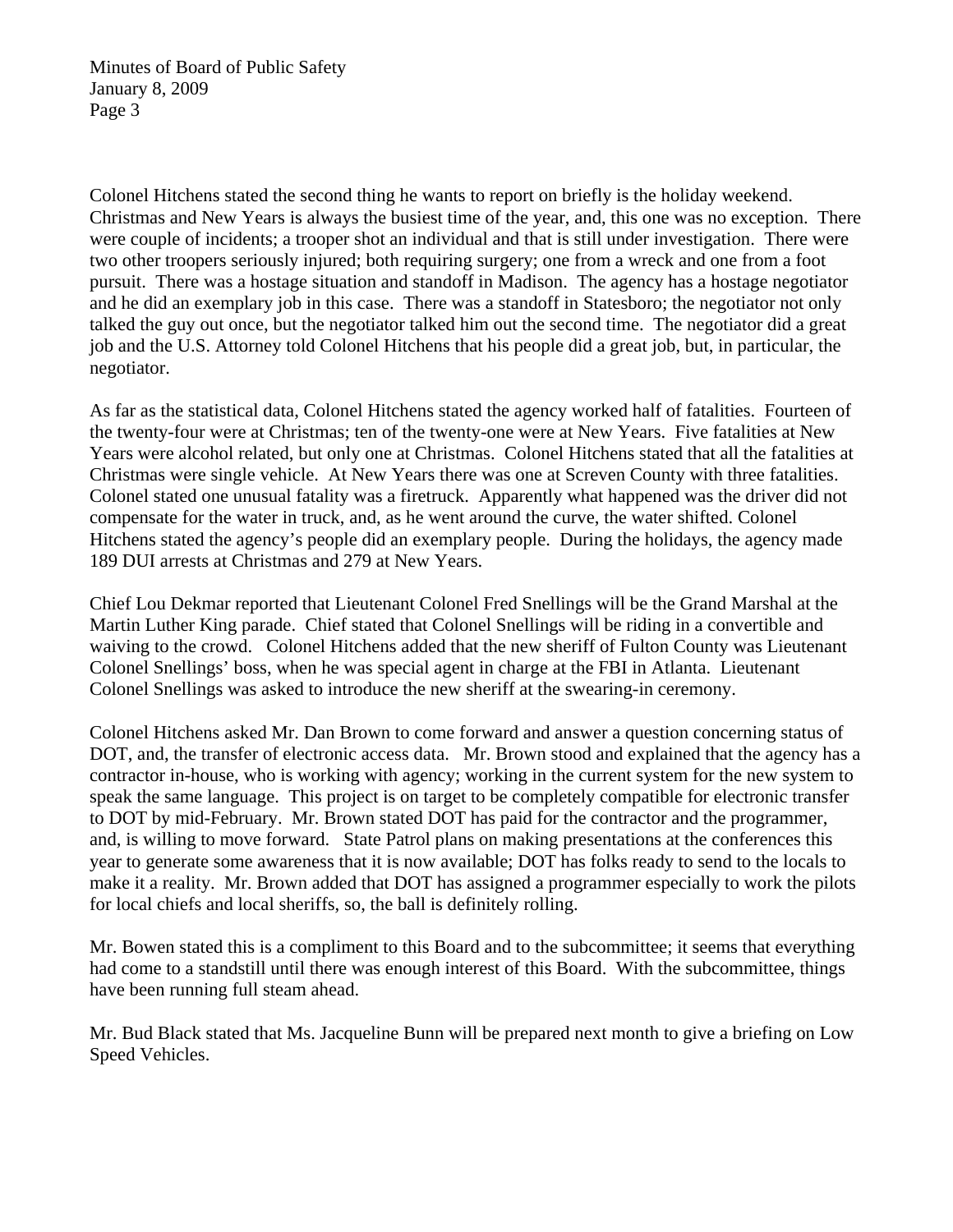Colonel Hitchens stated the second thing he wants to report on briefly is the holiday weekend. Christmas and New Years is always the busiest time of the year, and, this one was no exception. There were couple of incidents; a trooper shot an individual and that is still under investigation. There were two other troopers seriously injured; both requiring surgery; one from a wreck and one from a foot pursuit. There was a hostage situation and standoff in Madison. The agency has a hostage negotiator and he did an exemplary job in this case. There was a standoff in Statesboro; the negotiator not only talked the guy out once, but the negotiator talked him out the second time. The negotiator did a great job and the U.S. Attorney told Colonel Hitchens that his people did a great job, but, in particular, the negotiator.

As far as the statistical data, Colonel Hitchens stated the agency worked half of fatalities. Fourteen of the twenty-four were at Christmas; ten of the twenty-one were at New Years. Five fatalities at New Years were alcohol related, but only one at Christmas. Colonel Hitchens stated that all the fatalities at Christmas were single vehicle. At New Years there was one at Screven County with three fatalities. Colonel stated one unusual fatality was a firetruck. Apparently what happened was the driver did not compensate for the water in truck, and, as he went around the curve, the water shifted. Colonel Hitchens stated the agency's people did an exemplary people. During the holidays, the agency made 189 DUI arrests at Christmas and 279 at New Years.

Chief Lou Dekmar reported that Lieutenant Colonel Fred Snellings will be the Grand Marshal at the Martin Luther King parade. Chief stated that Colonel Snellings will be riding in a convertible and waiving to the crowd. Colonel Hitchens added that the new sheriff of Fulton County was Lieutenant Colonel Snellings' boss, when he was special agent in charge at the FBI in Atlanta. Lieutenant Colonel Snellings was asked to introduce the new sheriff at the swearing-in ceremony.

Colonel Hitchens asked Mr. Dan Brown to come forward and answer a question concerning status of DOT, and, the transfer of electronic access data. Mr. Brown stood and explained that the agency has a contractor in-house, who is working with agency; working in the current system for the new system to speak the same language. This project is on target to be completely compatible for electronic transfer to DOT by mid-February. Mr. Brown stated DOT has paid for the contractor and the programmer, and, is willing to move forward. State Patrol plans on making presentations at the conferences this year to generate some awareness that it is now available; DOT has folks ready to send to the locals to make it a reality. Mr. Brown added that DOT has assigned a programmer especially to work the pilots for local chiefs and local sheriffs, so, the ball is definitely rolling.

Mr. Bowen stated this is a compliment to this Board and to the subcommittee; it seems that everything had come to a standstill until there was enough interest of this Board. With the subcommittee, things have been running full steam ahead.

Mr. Bud Black stated that Ms. Jacqueline Bunn will be prepared next month to give a briefing on Low Speed Vehicles.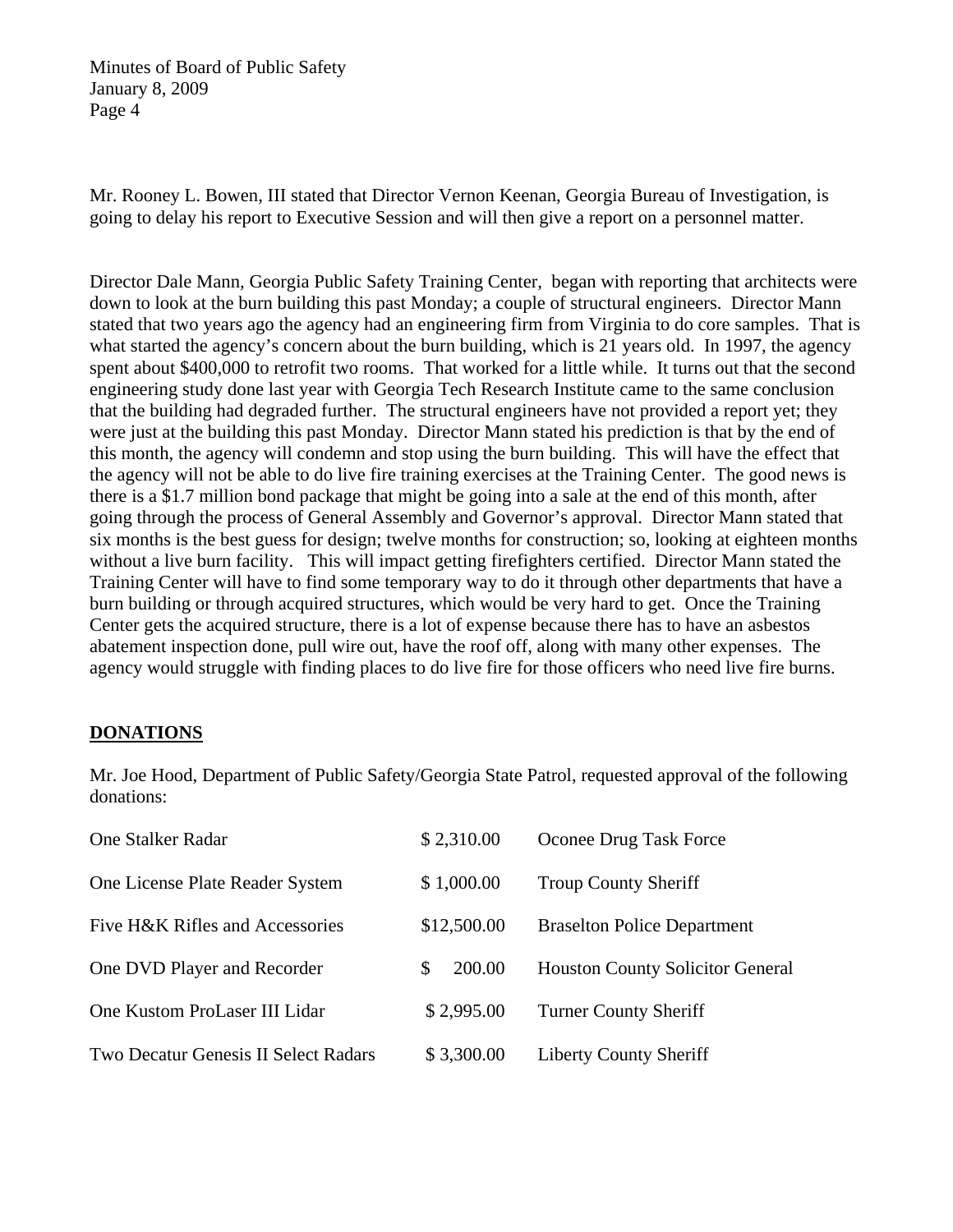Mr. Rooney L. Bowen, III stated that Director Vernon Keenan, Georgia Bureau of Investigation, is going to delay his report to Executive Session and will then give a report on a personnel matter.

Director Dale Mann, Georgia Public Safety Training Center, began with reporting that architects were down to look at the burn building this past Monday; a couple of structural engineers. Director Mann stated that two years ago the agency had an engineering firm from Virginia to do core samples. That is what started the agency's concern about the burn building, which is 21 years old. In 1997, the agency spent about \$400,000 to retrofit two rooms. That worked for a little while. It turns out that the second engineering study done last year with Georgia Tech Research Institute came to the same conclusion that the building had degraded further. The structural engineers have not provided a report yet; they were just at the building this past Monday. Director Mann stated his prediction is that by the end of this month, the agency will condemn and stop using the burn building. This will have the effect that the agency will not be able to do live fire training exercises at the Training Center. The good news is there is a \$1.7 million bond package that might be going into a sale at the end of this month, after going through the process of General Assembly and Governor's approval. Director Mann stated that six months is the best guess for design; twelve months for construction; so, looking at eighteen months without a live burn facility. This will impact getting firefighters certified. Director Mann stated the Training Center will have to find some temporary way to do it through other departments that have a burn building or through acquired structures, which would be very hard to get. Once the Training Center gets the acquired structure, there is a lot of expense because there has to have an asbestos abatement inspection done, pull wire out, have the roof off, along with many other expenses. The agency would struggle with finding places to do live fire for those officers who need live fire burns.

# **DONATIONS**

Mr. Joe Hood, Department of Public Safety/Georgia State Patrol, requested approval of the following donations:

| <b>One Stalker Radar</b>                    | \$2,310.00   | Oconee Drug Task Force                  |
|---------------------------------------------|--------------|-----------------------------------------|
| One License Plate Reader System             | \$1,000.00   | <b>Troup County Sheriff</b>             |
| Five H&K Rifles and Accessories             | \$12,500.00  | <b>Braselton Police Department</b>      |
| One DVD Player and Recorder                 | 200.00<br>\$ | <b>Houston County Solicitor General</b> |
| One Kustom ProLaser III Lidar               | \$2,995.00   | <b>Turner County Sheriff</b>            |
| <b>Two Decatur Genesis II Select Radars</b> | \$3,300.00   | <b>Liberty County Sheriff</b>           |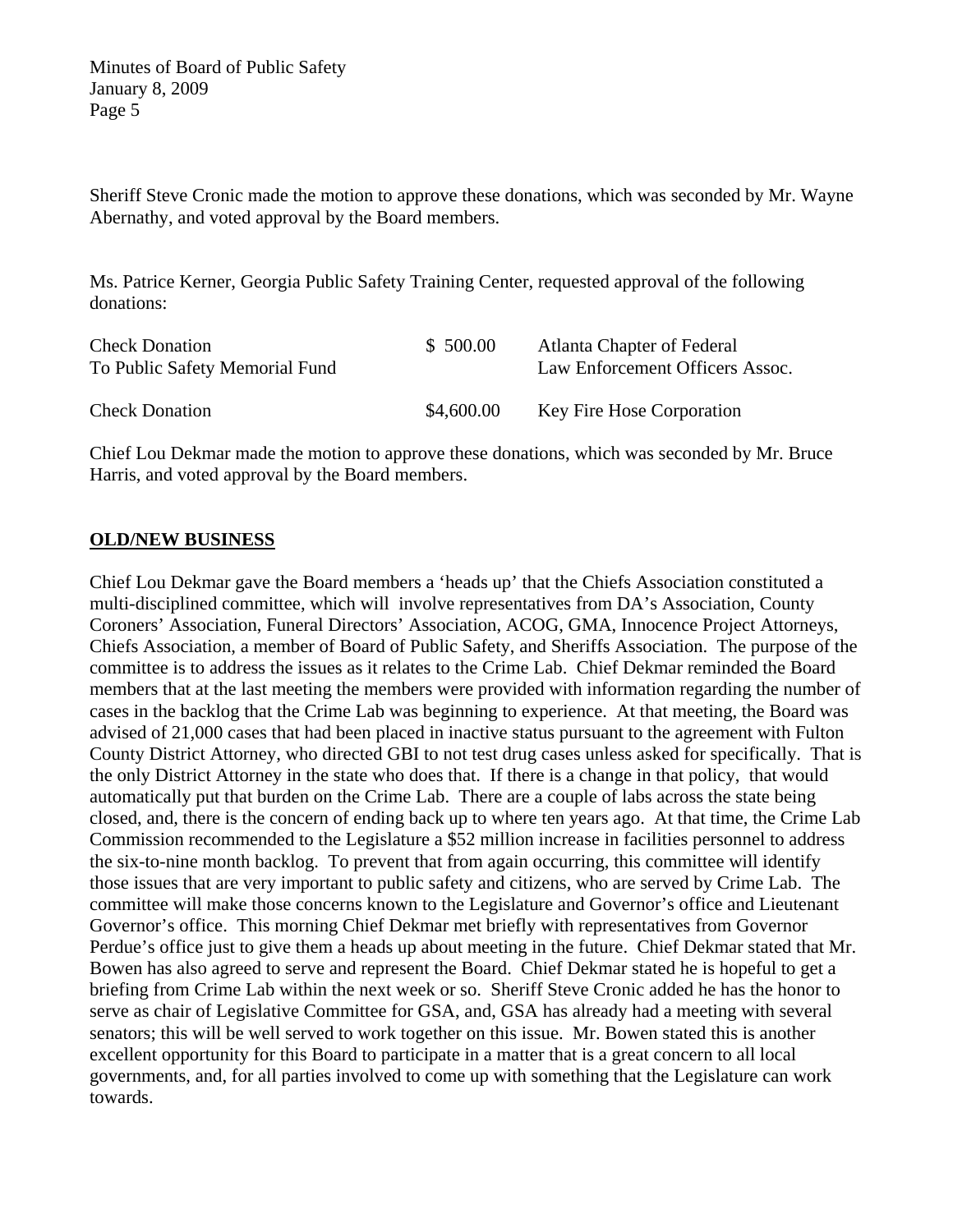Sheriff Steve Cronic made the motion to approve these donations, which was seconded by Mr. Wayne Abernathy, and voted approval by the Board members.

Ms. Patrice Kerner, Georgia Public Safety Training Center, requested approval of the following donations:

| <b>Check Donation</b><br>To Public Safety Memorial Fund | \$500.00   | Atlanta Chapter of Federal<br>Law Enforcement Officers Assoc. |
|---------------------------------------------------------|------------|---------------------------------------------------------------|
| <b>Check Donation</b>                                   | \$4,600.00 | <b>Key Fire Hose Corporation</b>                              |

Chief Lou Dekmar made the motion to approve these donations, which was seconded by Mr. Bruce Harris, and voted approval by the Board members.

## **OLD/NEW BUSINESS**

Chief Lou Dekmar gave the Board members a 'heads up' that the Chiefs Association constituted a multi-disciplined committee, which will involve representatives from DA's Association, County Coroners' Association, Funeral Directors' Association, ACOG, GMA, Innocence Project Attorneys, Chiefs Association, a member of Board of Public Safety, and Sheriffs Association. The purpose of the committee is to address the issues as it relates to the Crime Lab. Chief Dekmar reminded the Board members that at the last meeting the members were provided with information regarding the number of cases in the backlog that the Crime Lab was beginning to experience. At that meeting, the Board was advised of 21,000 cases that had been placed in inactive status pursuant to the agreement with Fulton County District Attorney, who directed GBI to not test drug cases unless asked for specifically. That is the only District Attorney in the state who does that. If there is a change in that policy, that would automatically put that burden on the Crime Lab. There are a couple of labs across the state being closed, and, there is the concern of ending back up to where ten years ago. At that time, the Crime Lab Commission recommended to the Legislature a \$52 million increase in facilities personnel to address the six-to-nine month backlog. To prevent that from again occurring, this committee will identify those issues that are very important to public safety and citizens, who are served by Crime Lab. The committee will make those concerns known to the Legislature and Governor's office and Lieutenant Governor's office. This morning Chief Dekmar met briefly with representatives from Governor Perdue's office just to give them a heads up about meeting in the future. Chief Dekmar stated that Mr. Bowen has also agreed to serve and represent the Board. Chief Dekmar stated he is hopeful to get a briefing from Crime Lab within the next week or so. Sheriff Steve Cronic added he has the honor to serve as chair of Legislative Committee for GSA, and, GSA has already had a meeting with several senators; this will be well served to work together on this issue. Mr. Bowen stated this is another excellent opportunity for this Board to participate in a matter that is a great concern to all local governments, and, for all parties involved to come up with something that the Legislature can work towards.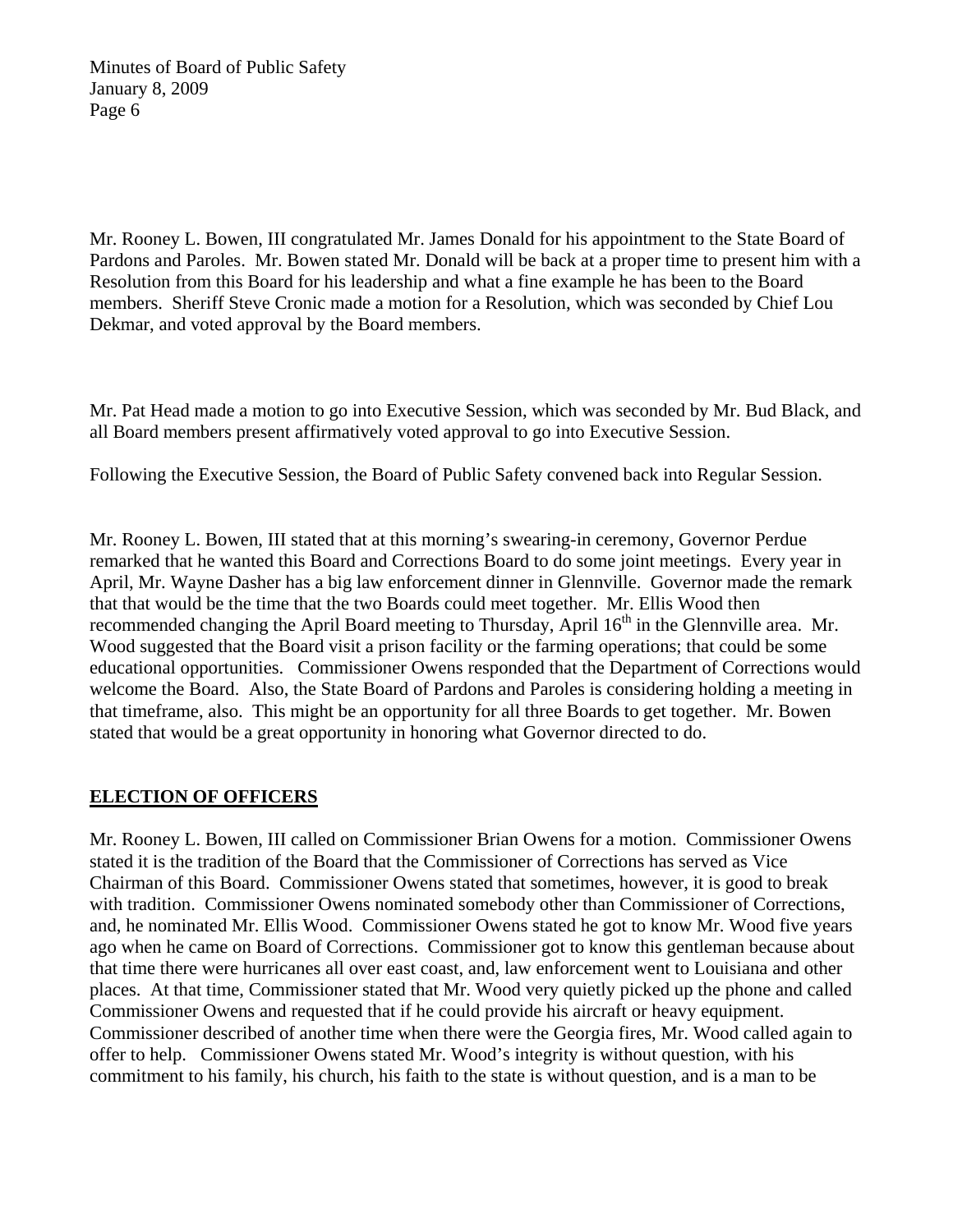Mr. Rooney L. Bowen, III congratulated Mr. James Donald for his appointment to the State Board of Pardons and Paroles. Mr. Bowen stated Mr. Donald will be back at a proper time to present him with a Resolution from this Board for his leadership and what a fine example he has been to the Board members. Sheriff Steve Cronic made a motion for a Resolution, which was seconded by Chief Lou Dekmar, and voted approval by the Board members.

Mr. Pat Head made a motion to go into Executive Session, which was seconded by Mr. Bud Black, and all Board members present affirmatively voted approval to go into Executive Session.

Following the Executive Session, the Board of Public Safety convened back into Regular Session.

Mr. Rooney L. Bowen, III stated that at this morning's swearing-in ceremony, Governor Perdue remarked that he wanted this Board and Corrections Board to do some joint meetings. Every year in April, Mr. Wayne Dasher has a big law enforcement dinner in Glennville. Governor made the remark that that would be the time that the two Boards could meet together. Mr. Ellis Wood then recommended changing the April Board meeting to Thursday, April  $16<sup>th</sup>$  in the Glennville area. Mr. Wood suggested that the Board visit a prison facility or the farming operations; that could be some educational opportunities. Commissioner Owens responded that the Department of Corrections would welcome the Board. Also, the State Board of Pardons and Paroles is considering holding a meeting in that timeframe, also. This might be an opportunity for all three Boards to get together. Mr. Bowen stated that would be a great opportunity in honoring what Governor directed to do.

# **ELECTION OF OFFICERS**

Mr. Rooney L. Bowen, III called on Commissioner Brian Owens for a motion. Commissioner Owens stated it is the tradition of the Board that the Commissioner of Corrections has served as Vice Chairman of this Board. Commissioner Owens stated that sometimes, however, it is good to break with tradition. Commissioner Owens nominated somebody other than Commissioner of Corrections, and, he nominated Mr. Ellis Wood. Commissioner Owens stated he got to know Mr. Wood five years ago when he came on Board of Corrections. Commissioner got to know this gentleman because about that time there were hurricanes all over east coast, and, law enforcement went to Louisiana and other places. At that time, Commissioner stated that Mr. Wood very quietly picked up the phone and called Commissioner Owens and requested that if he could provide his aircraft or heavy equipment. Commissioner described of another time when there were the Georgia fires, Mr. Wood called again to offer to help. Commissioner Owens stated Mr. Wood's integrity is without question, with his commitment to his family, his church, his faith to the state is without question, and is a man to be